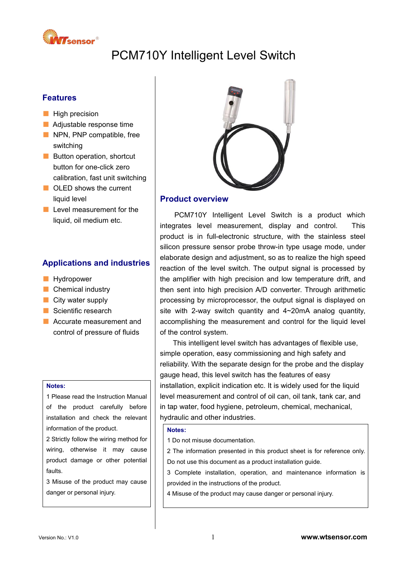

# PCM710Y Intelligent Level Switch

# **Features**

- High precision
- Adjustable response time
- NPN, PNP compatible, free switching
- Button operation, shortcut button for one-click zero calibration, fast unit switching
- OLED shows the current liquid level
- Level measurement for the liquid, oil medium etc.

# **Applications and industries**

- Hydropower
- Chemical industry
- City water supply
- Scientific research
- Accurate measurement and control of pressure of fluids

#### **Notes:**

1 Please read the Instruction Manual of the product carefully before installation and check the relevant information of the product.

2 Strictly follow the wiring method for wiring, otherwise it may cause product damage or other potential faults.

3 Misuse of the product may cause danger or personal injury.



### **Product overview**

PCM710Y Intelligent Level Switch is a product which integrates level measurement, display and control. This product is in full-electronic structure, with the stainless steel silicon pressure sensor probe throw-in type usage mode, under elaborate design and adjustment, so as to realize the high speed reaction of the level switch. The output signal is processed by the amplifier with high precision and low temperature drift, and then sent into high precision A/D converter. Through arithmetic processing by microprocessor, the output signal is displayed on site with 2-way switch quantity and 4~20mA analog quantity, accomplishing the measurement and control for the liquid level of the control system.

This intelligent level switch has advantages of flexible use, simple operation, easy commissioning and high safety and reliability. With the separate design for the probe and the display gauge head, this level switch has the features of easy installation, explicit indication etc. It is widely used for the liquid level measurement and control of oil can, oil tank, tank car, and in tap water, food hygiene, petroleum, chemical, mechanical, hydraulic and other industries.

### **Notes:**

1 Do not misuse documentation.

2 The information presented in this product sheet is for reference only. Do not use this document as a product installation guide.

3 Complete installation, operation, and maintenance information is provided in the instructions of the product.

4 Misuse of the product may cause danger or personal injury.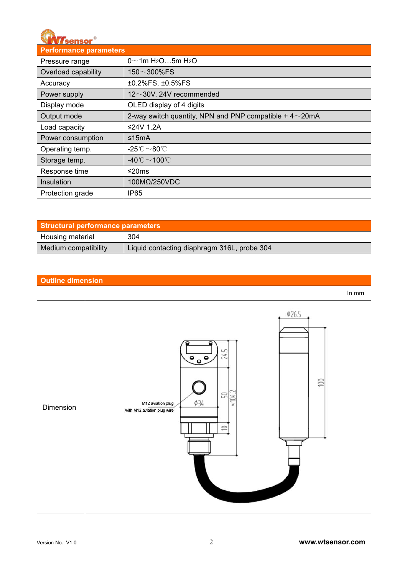

| <b>Performance parameters</b> |                                                               |
|-------------------------------|---------------------------------------------------------------|
| Pressure range                | $0 \sim 1$ m H <sub>2</sub> O5m H <sub>2</sub> O              |
| Overload capability           | 150 $\sim$ 300%FS                                             |
| Accuracy                      | ±0.2%FS, ±0.5%FS                                              |
| Power supply                  | $12 \sim 30V$ , 24V recommended                               |
| Display mode                  | OLED display of 4 digits                                      |
| Output mode                   | 2-way switch quantity, NPN and PNP compatible $+4{\sim}20$ mA |
| Load capacity                 | ≤24V 1.2A                                                     |
| Power consumption             | ≤15mA                                                         |
| Operating temp.               | -25 $^{\circ}\text{C}$ $\sim$ 80 $^{\circ}\text{C}$           |
| Storage temp.                 | -40 $^{\circ}$ C $\sim$ 100 $^{\circ}$ C                      |
| Response time                 | ≤20ms                                                         |
| Insulation                    | 100MΩ/250VDC                                                  |
| Protection grade              | IP <sub>65</sub>                                              |

| <b>Structural performance parameters</b> |                                             |
|------------------------------------------|---------------------------------------------|
| Housing material                         | 304                                         |
| Medium compatibility                     | Liquid contacting diaphragm 316L, probe 304 |

# **Outline dimension**



In mm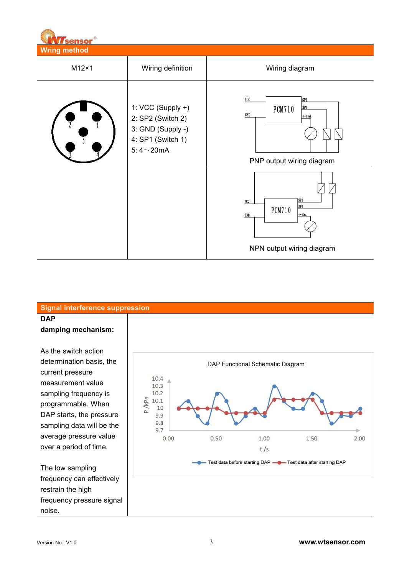| V<br><b>M</b> sensor®               |                                                                                                     |                                                                                                                                                                                                                       |  |
|-------------------------------------|-----------------------------------------------------------------------------------------------------|-----------------------------------------------------------------------------------------------------------------------------------------------------------------------------------------------------------------------|--|
| <b>Wring method</b><br>$M12\times1$ | Wiring definition                                                                                   | Wiring diagram                                                                                                                                                                                                        |  |
|                                     | 1: VCC (Supply +)<br>2: SP2 (Switch 2)<br>3: GND (Supply -)<br>4: SP1 (Switch 1)<br>5:4 $\sim$ 20mA | $VC$<br>SP <sub>1</sub><br>SP <sub>2</sub><br><b>PCM710</b><br>GND<br>$4-20$ n A<br>PNP output wiring diagram<br>$\sqrt{2}$<br>7sP1<br>$vc$<br>SP2<br><b>PCM710</b><br>$4 - 20nA$<br>GND<br>NPN output wiring diagram |  |
|                                     |                                                                                                     |                                                                                                                                                                                                                       |  |

# **Signal interference suppression DAP damping mechanism:**

WIZ

As the switch action determination basis, the current pressure<br>
10.4 measurement value  $\begin{array}{|c|c|c|}\n\hline\n&10.3\n\end{array}$ sampling frequency is<br>
programmable. When<br>  $\begin{array}{r} 10.2 \\ \text{N} \\ \text{Q} \\ 10.1 \end{array}$ programmable. When DAP starts, the pressure  $\begin{bmatrix} 1 & a \\ 0 & 9.9 \end{bmatrix}$ sampling data will be the  $\Big|\Big|$   $\Big|^{9.8}_{9.7}$ average pressure value over a period of time.

The low sampling frequency can effectively restrain the high frequency pressure signal noise.

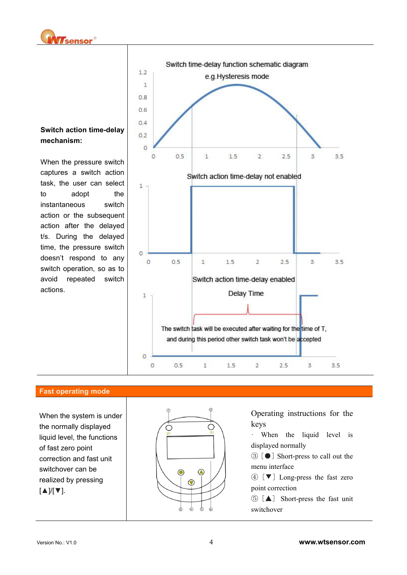

# **Switch action time-delay mechanism:**

When the pressure switch task, the user can select  $\Big|_{\pm}$ to adopt the instantaneous switch action or the subsequent action after the delayed t/s. During the delayed time, the pressure switch  $\Big|$ doesn't respond to any switch operation, so as to actions.



### **Fast operating mode**

When the system is under the normally displayed  $\bigcap$ liquid level, the functions of fast zero point correction and fast unit switchover can be realized by pressing [▲]/[▼].



Operating instructions for the keys

· When the liquid level is displayed normally

③ [●] Short-press to call out the menu interface

④ [▼] Long-press the fast zero point correction

⑤ [▲] Short-press the fast unit switchover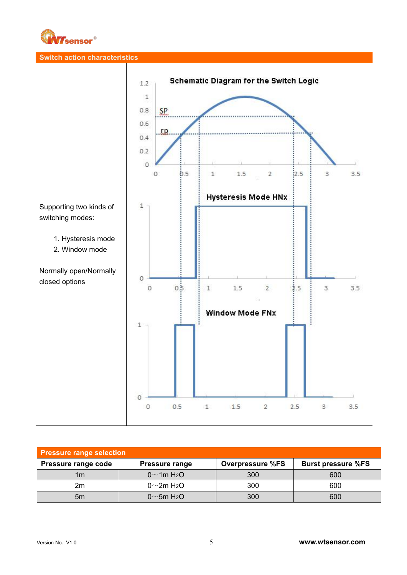

# **Switch action characteristics**



| <b>Pressure range selection</b> |                               |                         |                           |  |  |  |
|---------------------------------|-------------------------------|-------------------------|---------------------------|--|--|--|
| Pressure range code             | <b>Pressure range</b>         | <b>Overpressure %FS</b> | <b>Burst pressure %FS</b> |  |  |  |
| 1 <sub>m</sub>                  | $0 \sim 1$ m H <sub>2</sub> O | 300                     | 600                       |  |  |  |
| 2m                              | $0^\sim$ 2m H <sub>2</sub> O  | 300                     | 600                       |  |  |  |
| 5m                              | $0 \sim 5m$ H <sub>2</sub> O  | 300                     | 600                       |  |  |  |